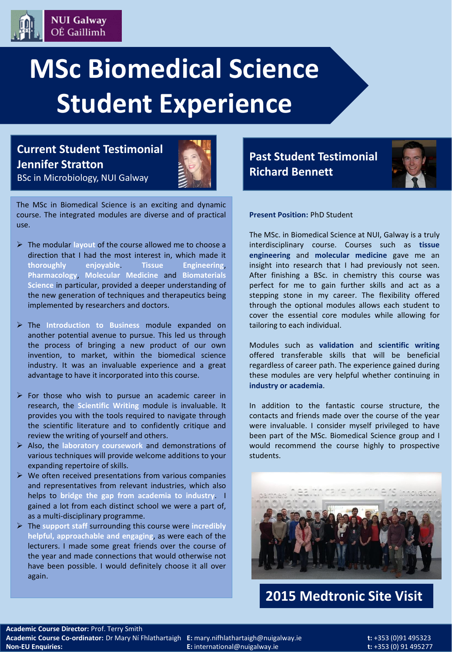

**Current Student Testimonial Jennifer Stratton** BSc in Microbiology, NUI Galway

**NUI Galway** OÉ Gaillimh



The MSc in Biomedical Science is an exciting and dynamic course. The integrated modules are diverse and of practical use.

- The modular **layout** of the course allowed me to choose a direction that I had the most interest in, which made it **thoroughly enjoyable**. **Tissue Engineering**, **Pharmacology**, **Molecular Medicine** and **Biomaterials Science** in particular, provided a deeper understanding of the new generation of techniques and therapeutics being implemented by researchers and doctors.
- The **Introduction to Business** module expanded on another potential avenue to pursue. This led us through the process of bringing a new product of our own invention, to market, within the biomedical science industry. It was an invaluable experience and a great advantage to have it incorporated into this course.
- $\triangleright$  For those who wish to pursue an academic career in research, the **Scientific Writing** module is invaluable. It provides you with the tools required to navigate through the scientific literature and to confidently critique and review the writing of yourself and others.
- Also, the **laboratory coursework** and demonstrations of various techniques will provide welcome additions to your expanding repertoire of skills.
- $\triangleright$  We often received presentations from various companies and representatives from relevant industries, which also helps to **bridge the gap from academia to industry**. I gained a lot from each distinct school we were a part of, as a multi-disciplinary programme.
- The **support staff** surrounding this course were **incredibly helpful, approachable and engaging**, as were each of the lecturers. I made some great friends over the course of the year and made connections that would otherwise not have been possible. I would definitely choose it all over again.

**Past Student Testimonial Richard Bennett**



**Present Position:** PhD Student

The MSc. in Biomedical Science at NUI, Galway is a truly interdisciplinary course. Courses such as **tissue engineering** and **molecular medicine** gave me an insight into research that I had previously not seen. After finishing a BSc. in chemistry this course was perfect for me to gain further skills and act as a stepping stone in my career. The flexibility offered through the optional modules allows each student to cover the essential core modules while allowing for tailoring to each individual.

Modules such as **validation** and **scientific writing** offered transferable skills that will be beneficial regardless of career path. The experience gained during these modules are very helpful whether continuing in **industry or academia**.

In addition to the fantastic course structure, the contacts and friends made over the course of the year were invaluable. I consider myself privileged to have been part of the MSc. Biomedical Science group and I would recommend the course highly to prospective students.



**2015 Medtronic Site Visit** 

**Academic Course Director:** Prof. Terry Smith **Academic Course Co-ordinator:** Dr Mary Ní Fhlathartaigh **E:** mary.nifhlathartaigh@nuigalway.ie **t:** +353 (0)91 495323 **Non-EU Enquiries: E:** international@nuigalway.ie **t:** +353 (0) 91 495277